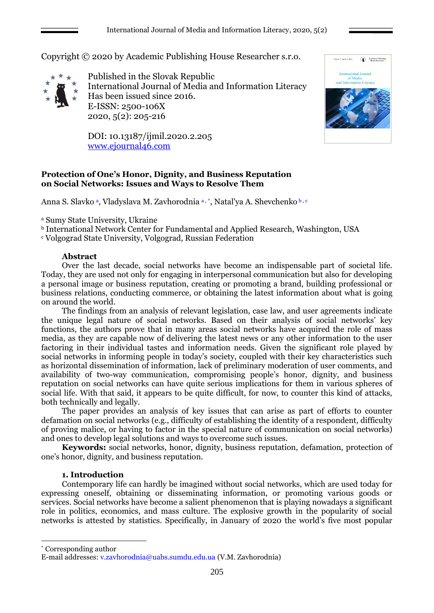

 $\langle \hat{\textbf{A}} \rangle = \text{Academic Publishing}$ 

Copyright © 2020 by Academic Publishing House Researcher s.r.o.



Published in the Slovak Republic International Journal of Media and Information Literacy Has been issued since 2016. E-ISSN: 2500-106X 2020, 5(2): 205-216

DOI: 10.13187/ijmil.2020.2.205 [www.ejournal46.com](http://www.ejournal46.com/)

# **Protection of One's Honor, Dignity, and Business Reputation on Social Networks: Issues and Ways to Resolve Them**

Anna S. Slavko <sup>a</sup>, Vladyslava M. Zavhorodnia <sup>a,</sup> \*, Natal'ya A. Shevchenko b, c

<sup>a</sup> Sumy State University, Ukraine

<sup>b</sup> International Network Center for Fundamental and Applied Research, Washington, USA

<sup>c</sup> Volgograd State University, Volgograd, Russian Federation

# **Abstract**

Over the last decade, social networks have become an indispensable part of societal life. Today, they are used not only for engaging in interpersonal communication but also for developing a personal image or business reputation, creating or promoting a brand, building professional or business relations, conducting commerce, or obtaining the latest information about what is going on around the world.

The findings from an analysis of relevant legislation, case law, and user agreements indicate the unique legal nature of social networks. Based on their analysis of social networks' key functions, the authors prove that in many areas social networks have acquired the role of mass media, as they are capable now of delivering the latest news or any other information to the user factoring in their individual tastes and information needs. Given the significant role played by social networks in informing people in today's society, coupled with their key characteristics such as horizontal dissemination of information, lack of preliminary moderation of user comments, and availability of two-way communication, compromising people's honor, dignity, and business reputation on social networks can have quite serious implications for them in various spheres of social life. With that said, it appears to be quite difficult, for now, to counter this kind of attacks, both technically and legally.

The paper provides an analysis of key issues that can arise as part of efforts to counter defamation on social networks (e.g., difficulty of establishing the identity of a respondent, difficulty of proving malice, or having to factor in the special nature of communication on social networks) and ones to develop legal solutions and ways to overcome such issues.

**Keywords:** social networks, honor, dignity, business reputation, defamation, protection of one's honor, dignity, and business reputation.

# **1. Introduction**

Contemporary life can hardly be imagined without social networks, which are used today for expressing oneself, obtaining or disseminating information, or promoting various goods or services. Social networks have become a salient phenomenon that is playing nowadays a significant role in politics, economics, and mass culture. The explosive growth in the popularity of social networks is attested by statistics. Specifically, in January of 2020 the world's five most popular

\* Corresponding author

1

E-mail addresses: [v.zavhorodnia@uabs.sumdu.edu.ua](mailto:v.zavhorodnia@uabs.sumdu.edu.ua) (V.M. Zavhorodnia)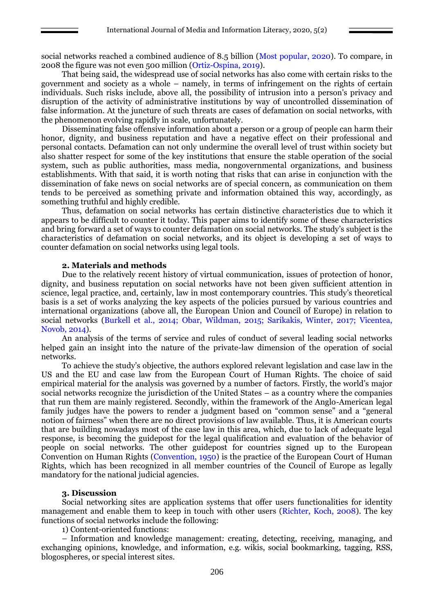social networks reached a combined audience of 8.5 billion (Most popular, 2020). To compare, in 2008 the figure was not even 500 million (Ortiz-Ospina, 2019).

That being said, the widespread use of social networks has also come with certain risks to the government and society as a whole – namely, in terms of infringement on the rights of certain individuals. Such risks include, above all, the possibility of intrusion into a person's privacy and disruption of the activity of administrative institutions by way of uncontrolled dissemination of false information. At the juncture of such threats are cases of defamation on social networks, with the phenomenon evolving rapidly in scale, unfortunately.

Disseminating false offensive information about a person or a group of people can harm their honor, dignity, and business reputation and have a negative effect on their professional and personal contacts. Defamation can not only undermine the overall level of trust within society but also shatter respect for some of the key institutions that ensure the stable operation of the social system, such as public authorities, mass media, nongovernmental organizations, and business establishments. With that said, it is worth noting that risks that can arise in conjunction with the dissemination of fake news on social networks are of special concern, as communication on them tends to be perceived as something private and information obtained this way, accordingly, as something truthful and highly credible.

Thus, defamation on social networks has certain distinctive characteristics due to which it appears to be difficult to counter it today. This paper aims to identify some of these characteristics and bring forward a set of ways to counter defamation on social networks. The study's subject is the characteristics of defamation on social networks, and its object is developing a set of ways to counter defamation on social networks using legal tools.

#### **2. Materials and methods**

Due to the relatively recent history of virtual communication, issues of protection of honor, dignity, and business reputation on social networks have not been given sufficient attention in science, legal practice, and, certainly, law in most contemporary countries. This study's theoretical basis is a set of works analyzing the key aspects of the policies pursued by various countries and international organizations (above all, the European Union and Council of Europe) in relation to social networks (Burkell et al., 2014; Obar, Wildman, 2015; Sarikakis, Winter, 2017; Vicentea, Novob, 2014).

An analysis of the terms of service and rules of conduct of several leading social networks helped gain an insight into the nature of the private-law dimension of the operation of social networks.

To achieve the study's objective, the authors explored relevant legislation and case law in the US and the EU and case law from the European Court of Human Rights. The choice of said empirical material for the analysis was governed by a number of factors. Firstly, the world's major social networks recognize the jurisdiction of the United States – as a country where the companies that run them are mainly registered. Secondly, within the framework of the Anglo-American legal family judges have the powers to render a judgment based on "common sense" and a "general notion of fairness" when there are no direct provisions of law available. Thus, it is American courts that are building nowadays most of the case law in this area, which, due to lack of adequate legal response, is becoming the guidepost for the legal qualification and evaluation of the behavior of people on social networks. The other guidepost for countries signed up to the European Convention on Human Rights (Convention, 1950) is the practice of the European Court of Human Rights, which has been recognized in all member countries of the Council of Europe as legally mandatory for the national judicial agencies.

### **3. Discussion**

Social networking sites are application systems that offer users functionalities for identity management and enable them to keep in touch with other users (Richter, Koch, 2008). The key functions of social networks include the following:

1) Content-oriented functions:

– Information and knowledge management: creating, detecting, receiving, managing, and exchanging opinions, knowledge, and information, e.g. wikis, social bookmarking, tagging, RSS, blogospheres, or special interest sites.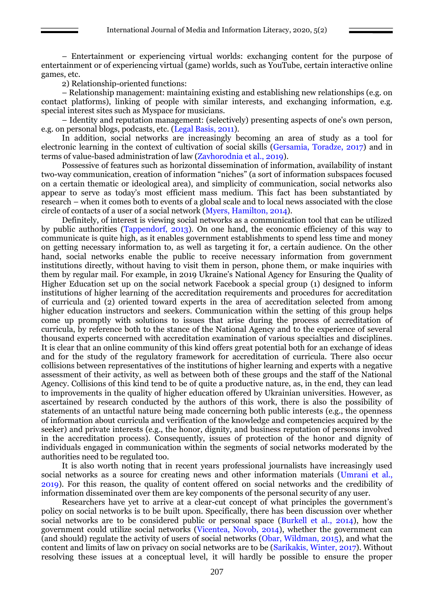– Entertainment or experiencing virtual worlds: exchanging content for the purpose of entertainment or of experiencing virtual (game) worlds, such as YouTube, certain interactive online games, etc.

2) Relationship-oriented functions:

– Relationship management: maintaining existing and establishing new relationships (e.g. on contact platforms), linking of people with similar interests, and exchanging information, e.g. special interest sites such as Myspace for musicians.

– Identity and reputation management: (selectively) presenting aspects of one's own person, e.g. on personal blogs, podcasts, etc. (Legal Basis, 2011).

In addition, social networks are increasingly becoming an area of study as a tool for electronic learning in the context of cultivation of social skills (Gersamia, Toradze, 2017) and in terms of value-based administration of law (Zavhorodnia et al., 2019).

Possessive of features such as horizontal dissemination of information, availability of instant two-way communication, creation of information "niches" (a sort of information subspaces focused on a certain thematic or ideological area), and simplicity of communication, social networks also appear to serve as today's most efficient mass medium. This fact has been substantiated by research – when it comes both to events of a global scale and to local news associated with the close circle of contacts of a user of a social network (Myers, Hamilton, 2014).

Definitely, of interest is viewing social networks as a communication tool that can be utilized by public authorities (Tappendorf, 2013). On one hand, the economic efficiency of this way to communicate is quite high, as it enables government establishments to spend less time and money on getting necessary information to, as well as targeting it for, a certain audience. On the other hand, social networks enable the public to receive necessary information from government institutions directly, without having to visit them in person, phone them, or make inquiries with them by regular mail. For example, in 2019 Ukraine's National Agency for Ensuring the Quality of Higher Education set up on the social network Facebook a special group (1) designed to inform institutions of higher learning of the accreditation requirements and procedures for accreditation of curricula and (2) oriented toward experts in the area of accreditation selected from among higher education instructors and seekers. Communication within the setting of this group helps come up promptly with solutions to issues that arise during the process of accreditation of curricula, by reference both to the stance of the National Agency and to the experience of several thousand experts concerned with accreditation examination of various specialties and disciplines. It is clear that an online community of this kind offers great potential both for an exchange of ideas and for the study of the regulatory framework for accreditation of curricula. There also occur collisions between representatives of the institutions of higher learning and experts with a negative assessment of their activity, as well as between both of these groups and the staff of the National Agency. Collisions of this kind tend to be of quite a productive nature, as, in the end, they can lead to improvements in the quality of higher education offered by Ukrainian universities. However, as ascertained by research conducted by the authors of this work, there is also the possibility of statements of an untactful nature being made concerning both public interests (e.g., the openness of information about curricula and verification of the knowledge and competencies acquired by the seeker) and private interests (e.g., the honor, dignity, and business reputation of persons involved in the accreditation process). Consequently, issues of protection of the honor and dignity of individuals engaged in communication within the segments of social networks moderated by the authorities need to be regulated too.

It is also worth noting that in recent years professional journalists have increasingly used social networks as a source for creating news and other information materials (Umrani et al., 2019). For this reason, the quality of content offered on social networks and the credibility of information disseminated over them are key components of the personal security of any user.

Researchers have yet to arrive at a clear-cut concept of what principles the government's policy on social networks is to be built upon. Specifically, there has been discussion over whether social networks are to be considered public or personal space (Burkell et al., 2014), how the government could utilize social networks (Vicentea, Novob, 2014), whether the government can (and should) regulate the activity of users of social networks (Obar, Wildman, 2015), and what the content and limits of law on privacy on social networks are to be (Sarikakis, Winter, 2017). Without resolving these issues at a conceptual level, it will hardly be possible to ensure the proper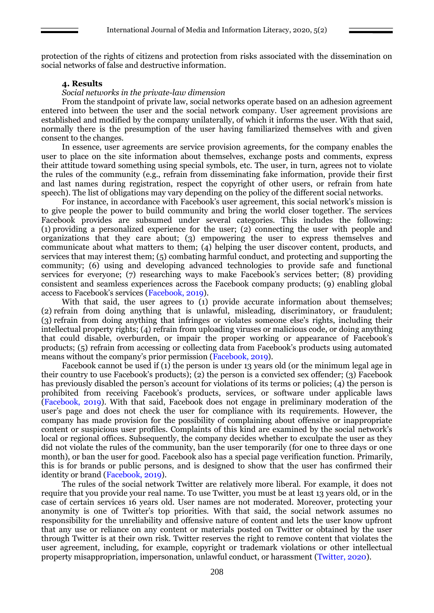protection of the rights of citizens and protection from risks associated with the dissemination on social networks of false and destructive information.

### **4. Results**

### *Social networks in the private-law dimension*

From the standpoint of private law, social networks operate based on an adhesion agreement entered into between the user and the social network company. User agreement provisions are established and modified by the company unilaterally, of which it informs the user. With that said, normally there is the presumption of the user having familiarized themselves with and given consent to the changes.

In essence, user agreements are service provision agreements, for the company enables the user to place on the site information about themselves, exchange posts and comments, express their attitude toward something using special symbols, etc. The user, in turn, agrees not to violate the rules of the community (e.g., refrain from disseminating fake information, provide their first and last names during registration, respect the copyright of other users, or refrain from hate speech). The list of obligations may vary depending on the policy of the different social networks.

For instance, in accordance with Facebook's user agreement, this social network's mission is to give people the power to build community and bring the world closer together. The services Facebook provides are subsumed under several categories. This includes the following: (1) providing a personalized experience for the user; (2) connecting the user with people and organizations that they care about; (3) empowering the user to express themselves and communicate about what matters to them; (4) helping the user discover content, products, and services that may interest them; (5) combating harmful conduct, and protecting and supporting the community; (6) using and developing advanced technologies to provide safe and functional services for everyone; (7) researching ways to make Facebook's services better; (8) providing consistent and seamless experiences across the Facebook company products; (9) enabling global access to Facebook's services (Facebook, 2019).

With that said, the user agrees to (1) provide accurate information about themselves; (2) refrain from doing anything that is unlawful, misleading, discriminatory, or fraudulent; (3) refrain from doing anything that infringes or violates someone else's rights, including their intellectual property rights; (4) refrain from uploading viruses or malicious code, or doing anything that could disable, overburden, or impair the proper working or appearance of Facebook's products; (5) refrain from accessing or collecting data from Facebook's products using automated means without the company's prior permission (Facebook, 2019).

Facebook cannot be used if (1) the person is under 13 years old (or the minimum legal age in their country to use Facebook's products); (2) the person is a convicted sex offender; (3) Facebook has previously disabled the person's account for violations of its terms or policies; (4) the person is prohibited from receiving Facebook's products, services, or software under applicable laws (Facebook, 2019). With that said, Facebook does not engage in preliminary moderation of the user's page and does not check the user for compliance with its requirements. However, the company has made provision for the possibility of complaining about offensive or inappropriate content or suspicious user profiles. Complaints of this kind are examined by the social network's local or regional offices. Subsequently, the company decides whether to exculpate the user as they did not violate the rules of the community, ban the user temporarily (for one to three days or one month), or ban the user for good. Facebook also has a special page verification function. Primarily, this is for brands or public persons, and is designed to show that the user has confirmed their identity or brand (Facebook, 2019).

The rules of the social network Twitter are relatively more liberal. For example, it does not require that you provide your real name. To use Twitter, you must be at least 13 years old, or in the case of certain services 16 years old. User names are not moderated. Moreover, protecting your anonymity is one of Twitter's top priorities. With that said, the social network assumes no responsibility for the unreliability and offensive nature of content and lets the user know upfront that any use or reliance on any content or materials posted on Twitter or obtained by the user through Twitter is at their own risk. Twitter reserves the right to remove content that violates the user agreement, including, for example, copyright or trademark violations or other intellectual property misappropriation, impersonation, unlawful conduct, or harassment (Twitter, 2020).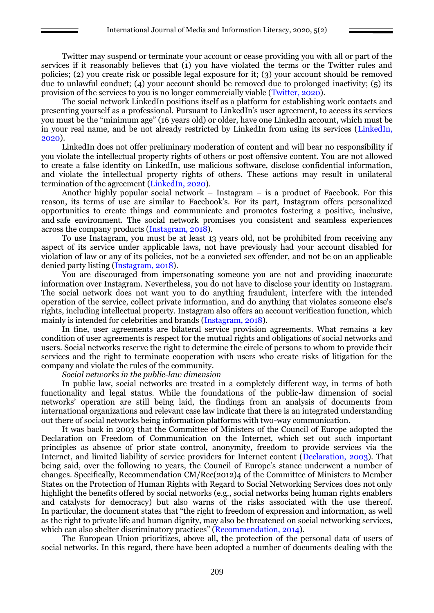Twitter may suspend or terminate your account or cease providing you with all or part of the services if it reasonably believes that (1) you have violated the terms or the Twitter rules and policies; (2) you create risk or possible legal exposure for it; (3) your account should be removed due to unlawful conduct; (4) your account should be removed due to prolonged inactivity; (5) its provision of the services to you is no longer commercially viable (Twitter, 2020).

The social network LinkedIn positions itself as a platform for establishing work contacts and presenting yourself as a professional. Pursuant to LinkedIn's user agreement, to access its services you must be the "minimum age" (16 years old) or older, have one LinkedIn account, which must be in your real name, and be not already restricted by LinkedIn from using its services (LinkedIn, 2020).

LinkedIn does not offer preliminary moderation of content and will bear no responsibility if you violate the intellectual property rights of others or post offensive content. You are not allowed to create a false identity on LinkedIn, use malicious software, disclose confidential information, and violate the intellectual property rights of others. These actions may result in unilateral termination of the agreement (LinkedIn, 2020).

Another highly popular social network – Instagram – is a product of Facebook. For this reason, its terms of use are similar to Facebook's. For its part, Instagram offers personalized opportunities to create things and communicate and promotes fostering a positive, inclusive, and safe environment. The social network promises you consistent and seamless experiences across the company products (Instagram, 2018).

To use Instagram, you must be at least 13 years old, not be prohibited from receiving any aspect of its service under applicable laws, not have previously had your account disabled for violation of law or any of its policies, not be a convicted sex offender, and not be on an applicable denied party listing (Instagram, 2018).

You are discouraged from impersonating someone you are not and providing inaccurate information over Instagram. Nevertheless, you do not have to disclose your identity on Instagram. The social network does not want you to do anything fraudulent, interfere with the intended operation of the service, collect private information, and do anything that violates someone else's rights, including intellectual property. Instagram also offers an account verification function, which mainly is intended for celebrities and brands (Instagram, 2018).

In fine, user agreements are bilateral service provision agreements. What remains a key condition of user agreements is respect for the mutual rights and obligations of social networks and users. Social networks reserve the right to determine the circle of persons to whom to provide their services and the right to terminate cooperation with users who create risks of litigation for the company and violate the rules of the community.

*Social networks in the public-law dimension*

In public law, social networks are treated in a completely different way, in terms of both functionality and legal status. While the foundations of the public-law dimension of social networks' operation are still being laid, the findings from an analysis of documents from international organizations and relevant case law indicate that there is an integrated understanding out there of social networks being information platforms with two-way communication.

It was back in 2003 that the Committee of Ministers of the Council of Europe adopted the Declaration on Freedom of Communication on the Internet, which set out such important principles as absence of prior state control, anonymity, freedom to provide services via the Internet, and limited liability of service providers for Internet content (Declaration, 2003). That being said, over the following 10 years, the Council of Europe's stance underwent a number of changes. Specifically, Recommendation CM/Rec(2012)4 of the Committee of Ministers to Member States on the Protection of Human Rights with Regard to Social Networking Services does not only highlight the benefits offered by social networks (e.g., social networks being human rights enablers and catalysts for democracy) but also warns of the risks associated with the use thereof. In particular, the document states that "the right to freedom of expression and information, as well as the right to private life and human dignity, may also be threatened on social networking services, which can also shelter discriminatory practices" (Recommendation, 2014).

The European Union prioritizes, above all, the protection of the personal data of users of social networks. In this regard, there have been adopted a number of documents dealing with the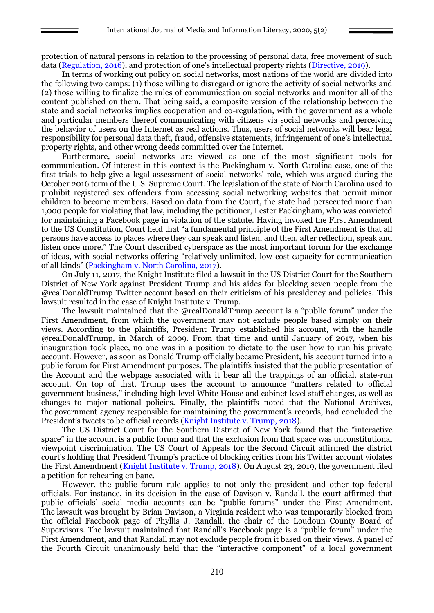protection of natural persons in relation to the processing of personal data, free movement of such data (Regulation, 2016), and protection of one's intellectual property rights (Directive, 2019).

In terms of working out policy on social networks, most nations of the world are divided into the following two camps: (1) those willing to disregard or ignore the activity of social networks and (2) those willing to finalize the rules of communication on social networks and monitor all of the content published on them. That being said, a composite version of the relationship between the state and social networks implies cooperation and co-regulation, with the government as a whole and particular members thereof communicating with citizens via social networks and perceiving the behavior of users on the Internet as real actions. Thus, users of social networks will bear legal responsibility for personal data theft, fraud, offensive statements, infringement of one's intellectual property rights, and other wrong deeds committed over the Internet.

Furthermore, social networks are viewed as one of the most significant tools for communication. Of interest in this context is the Packingham v. North Carolina case, one of the first trials to help give a legal assessment of social networks' role, which was argued during the October 2016 term of the U.S. Supreme Court. The legislation of the state of North Carolina used to prohibit registered sex offenders from accessing social networking websites that permit minor children to become members. Based on data from the Court, the state had persecuted more than 1,000 people for violating that law, including the petitioner, Lester Packingham, who was convicted for maintaining a Facebook page in violation of the statute. Having invoked the First Amendment to the US Constitution, Court held that "a fundamental principle of the First Amendment is that all persons have access to places where they can speak and listen, and then, after reflection, speak and listen once more." The Court described cyberspace as the most important forum for the exchange of ideas, with social networks offering "relatively unlimited, low-cost capacity for communication of all kinds" (Packingham v. North Carolina, 2017).

On July 11, 2017, the Knight Institute filed a lawsuit in the US District Court for the Southern District of New York against President Trump and his aides for blocking seven people from the @realDonaldTrump Twitter account based on their criticism of his presidency and policies. This lawsuit resulted in the case of Knight Institute v. Trump.

The lawsuit maintained that the @realDonaldTrump account is a "public forum" under the First Amendment, from which the government may not exclude people based simply on their views. According to the plaintiffs, President Trump established his account, with the handle @realDonaldTrump, in March of 2009. From that time and until January of 2017, when his inauguration took place, no one was in a position to dictate to the user how to run his private account. However, as soon as Donald Trump officially became President, his account turned into a public forum for First Amendment purposes. The plaintiffs insisted that the public presentation of the Account and the webpage associated with it bear all the trappings of an official, state‐run account. On top of that, Trump uses the account to announce "matters related to official government business," including high‐level White House and cabinet‐level staff changes, as well as changes to major national policies. Finally, the plaintiffs noted that the National Archives, the government agency responsible for maintaining the government's records, had concluded the President's tweets to be official records (Knight Institute v. Trump, 2018).

The US District Court for the Southern District of New York found that the "interactive space" in the account is a public forum and that the exclusion from that space was unconstitutional viewpoint discrimination. The US Court of Appeals for the Second Circuit affirmed the district court's holding that President Trump's practice of blocking critics from his Twitter account violates the First Amendment (Knight Institute v. Trump, 2018). On August 23, 2019, the government filed a petition for rehearing en banc.

However, the public forum rule applies to not only the president and other top federal officials. For instance, in its decision in the case of Davison v. Randall, the court affirmed that public officials' social media accounts can be "public forums" under the First Amendment. The lawsuit was brought by Brian Davison, a Virginia resident who was temporarily blocked from the official Facebook page of Phyllis J. Randall, the chair of the Loudoun County Board of Supervisors. The lawsuit maintained that Randall's Facebook page is a "public forum" under the First Amendment, and that Randall may not exclude people from it based on their views. A panel of the Fourth Circuit unanimously held that the "interactive component" of a local government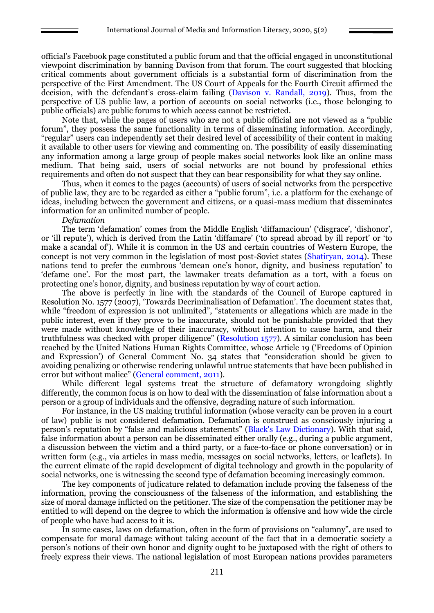official's Facebook page constituted a public forum and that the official engaged in unconstitutional viewpoint discrimination by banning Davison from that forum. The court suggested that blocking critical comments about government officials is a substantial form of discrimination from the perspective of the First Amendment. The US Court of Appeals for the Fourth Circuit affirmed the decision, with the defendant's cross-claim failing (Davison v. Randall, 2019). Thus, from the perspective of US public law, a portion of accounts on social networks (i.e., those belonging to public officials) are public forums to which access cannot be restricted.

Note that, while the pages of users who are not a public official are not viewed as a "public forum", they possess the same functionality in terms of disseminating information. Accordingly, "regular" users can independently set their desired level of accessibility of their content in making it available to other users for viewing and commenting on. The possibility of easily disseminating any information among a large group of people makes social networks look like an online mass medium. That being said, users of social networks are not bound by professional ethics requirements and often do not suspect that they can bear responsibility for what they say online.

Thus, when it comes to the pages (accounts) of users of social networks from the perspective of public law, they are to be regarded as either a "public forum", i.e. a platform for the exchange of ideas, including between the government and citizens, or a quasi-mass medium that disseminates information for an unlimited number of people.

#### *Defamation*

The term 'defamation' comes from the Middle English 'diffamacioun' ('disgrace', 'dishonor', or 'ill repute'), which is derived from the Latin 'diffamare' ('to spread abroad by ill report' or 'to make a scandal of'). While it is common in the US and certain countries of Western Europe, the concept is not very common in the legislation of most post-Soviet states (Shatiryan, 2014). These nations tend to prefer the cumbrous 'demean one's honor, dignity, and business reputation' to 'defame one'. For the most part, the lawmaker treats defamation as a tort, with a focus on protecting one's honor, dignity, and business reputation by way of court action.

The above is perfectly in line with the standards of the Council of Europe captured in Resolution No. 1577 (2007), 'Towards Decriminalisation of Defamation'. The document states that, while "freedom of expression is not unlimited", "statements or allegations which are made in the public interest, even if they prove to be inaccurate, should not be punishable provided that they were made without knowledge of their inaccuracy, without intention to cause harm, and their truthfulness was checked with proper diligence" (Resolution 1577). A similar conclusion has been reached by the United Nations Human Rights Committee, whose Article 19 ('Freedoms of Opinion and Expression') of General Comment No. 34 states that "consideration should be given to avoiding penalizing or otherwise rendering unlawful untrue statements that have been published in error but without malice" (General comment, 2011).

While different legal systems treat the structure of defamatory wrongdoing slightly differently, the common focus is on how to deal with the dissemination of false information about a person or a group of individuals and the offensive, degrading nature of such information.

For instance, in the US making truthful information (whose veracity can be proven in a court of law) public is not considered defamation. Defamation is construed as consciously injuring a person's reputation by "false and malicious statements" (Black's Law Dictionary). With that said, false information about a person can be disseminated either orally (e.g., during a public argument, a discussion between the victim and a third party, or a face-to-face or phone conversation) or in written form (e.g., via articles in mass media, messages on social networks, letters, or leaflets). In the current climate of the rapid development of digital technology and growth in the popularity of social networks, one is witnessing the second type of defamation becoming increasingly common.

The key components of judicature related to defamation include proving the falseness of the information, proving the consciousness of the falseness of the information, and establishing the size of moral damage inflicted on the petitioner. The size of the compensation the petitioner may be entitled to will depend on the degree to which the information is offensive and how wide the circle of people who have had access to it is.

In some cases, laws on defamation, often in the form of provisions on "calumny", are used to compensate for moral damage without taking account of the fact that in a democratic society a person's notions of their own honor and dignity ought to be juxtaposed with the right of others to freely express their views. The national legislation of most European nations provides parameters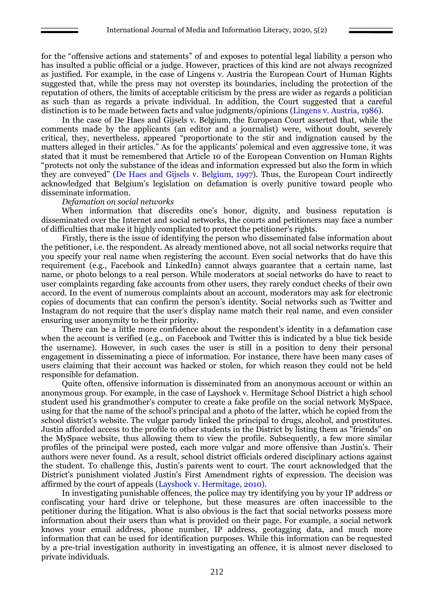for the "offensive actions and statements" of and exposes to potential legal liability a person who has insulted a public official or a judge. However, practices of this kind are not always recognized as justified. For example, in the case of Lingens v. Austria the European Court of Human Rights suggested that, while the press may not overstep its boundaries, including the protection of the reputation of others, the limits of acceptable criticism by the press are wider as regards a politician as such than as regards a private individual. In addition, the Court suggested that a careful distinction is to be made between facts and value judgments/opinions (Lingens v. Austria, 1986).

In the case of De Haes and Gijsels v. Belgium, the European Court asserted that, while the comments made by the applicants (an editor and a journalist) were, without doubt, severely critical, they, nevertheless, appeared "proportionate to the stir and indignation caused by the matters alleged in their articles." As for the applicants' polemical and even aggressive tone, it was stated that it must be remembered that Article 10 of the European Convention on Human Rights "protects not only the substance of the ideas and information expressed but also the form in which they are conveyed" (De Haes and Gijsels v. Belgium, 1997). Thus, the European Court indirectly acknowledged that Belgium's legislation on defamation is overly punitive toward people who disseminate information.

#### *Defamation on social networks*

When information that discredits one's honor, dignity, and business reputation is disseminated over the Internet and social networks, the courts and petitioners may face a number of difficulties that make it highly complicated to protect the petitioner's rights.

Firstly, there is the issue of identifying the person who disseminated false information about the petitioner, i.e. the respondent. As already mentioned above, not all social networks require that you specify your real name when registering the account. Even social networks that do have this requirement (e.g., Facebook and LinkedIn) cannot always guarantee that a certain name, last name, or photo belongs to a real person. While moderators at social networks do have to react to user complaints regarding fake accounts from other users, they rarely conduct checks of their own accord. In the event of numerous complaints about an account, moderators may ask for electronic copies of documents that can confirm the person's identity. Social networks such as Twitter and Instagram do not require that the user's display name match their real name, and even consider ensuring user anonymity to be their priority.

There can be a little more confidence about the respondent's identity in a defamation case when the account is verified (e.g., on Facebook and Twitter this is indicated by a blue tick beside the username). However, in such cases the user is still in a position to deny their personal engagement in disseminating a piece of information. For instance, there have been many cases of users claiming that their account was hacked or stolen, for which reason they could not be held responsible for defamation.

Quite often, offensive information is disseminated from an anonymous account or within an anonymous group. For example, in the case of Layshock v. Hermitage School District a high school student used his grandmother's computer to create a fake profile on the social network MySpace, using for that the name of the school's principal and a photo of the latter, which he copied from the school district's website. The vulgar parody linked the principal to drugs, alcohol, and prostitutes. Justin afforded access to the profile to other students in the District by listing them as "friends" on the MySpace website, thus allowing them to view the profile. Subsequently, a few more similar profiles of the principal were posted, each more vulgar and more offensive than Justin's. Their authors were never found. As a result, school district officials ordered disciplinary actions against the student. To challenge this, Justin's parents went to court. The court acknowledged that the District's punishment violated Justin's First Amendment rights of expression. The decision was affirmed by the court of appeals (Layshock v. Hermitage, 2010).

In investigating punishable offences, the police may try identifying you by your IP address or confiscating your hard drive or telephone, but these measures are often inaccessible to the petitioner during the litigation. What is also obvious is the fact that social networks possess more information about their users than what is provided on their page. For example, a social network knows your email address, phone number, IP address, geotagging data, and much more information that can be used for identification purposes. While this information can be requested by a pre-trial investigation authority in investigating an offence, it is almost never disclosed to private individuals.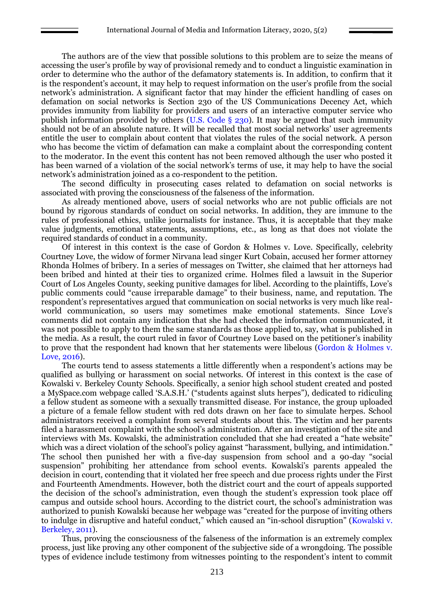The authors are of the view that possible solutions to this problem are to seize the means of accessing the user's profile by way of provisional remedy and to conduct a linguistic examination in order to determine who the author of the defamatory statements is. In addition, to confirm that it is the respondent's account, it may help to request information on the user's profile from the social network's administration. A significant factor that may hinder the efficient handling of cases on defamation on social networks is Section 230 of the US Communications Decency Act, which provides immunity from liability for providers and users of an interactive computer service who publish information provided by others (U.S. Code § 230). It may be argued that such immunity should not be of an absolute nature. It will be recalled that most social networks' user agreements entitle the user to complain about content that violates the rules of the social network. A person who has become the victim of defamation can make a complaint about the corresponding content to the moderator. In the event this content has not been removed although the user who posted it has been warned of a violation of the social network's terms of use, it may help to have the social network's administration joined as a co-respondent to the petition.

The second difficulty in prosecuting cases related to defamation on social networks is associated with proving the consciousness of the falseness of the information.

As already mentioned above, users of social networks who are not public officials are not bound by rigorous standards of conduct on social networks. In addition, they are immune to the rules of professional ethics, unlike journalists for instance. Thus, it is acceptable that they make value judgments, emotional statements, assumptions, etc., as long as that does not violate the required standards of conduct in a community.

Of interest in this context is the case of Gordon & Holmes v. Love. Specifically, celebrity Courtney Love, the widow of former Nirvana lead singer Kurt Cobain, accused her former attorney Rhonda Holmes of bribery. In a series of messages on Twitter, she claimed that her attorneys had been bribed and hinted at their ties to organized crime. Holmes filed a lawsuit in the Superior Court of Los Angeles County, seeking punitive damages for libel. According to the plaintiffs, Love's public comments could "cause irreparable damage" to their business, name, and reputation. The respondent's representatives argued that communication on social networks is very much like realworld communication, so users may sometimes make emotional statements. Since Love's comments did not contain any indication that she had checked the information communicated, it was not possible to apply to them the same standards as those applied to, say, what is published in the media. As a result, the court ruled in favor of Courtney Love based on the petitioner's inability to prove that the respondent had known that her statements were libelous (Gordon & Holmes v. Love, 2016).

The courts tend to assess statements a little differently when a respondent's actions may be qualified as bullying or harassment on social networks. Of interest in this context is the case of Kowalski v. Berkeley County Schools. Specifically, a senior high school student created and posted a MySpace.com webpage called 'S.A.S.H.' ("students against sluts herpes"), dedicated to ridiculing a fellow student as someone with a sexually transmitted disease. For instance, the group uploaded a picture of a female fellow student with red dots drawn on her face to simulate herpes. School administrators received a complaint from several students about this. The victim and her parents filed a harassment complaint with the school's administration. After an investigation of the site and interviews with Ms. Kowalski, the administration concluded that she had created a "hate website" which was a direct violation of the school's policy against "harassment, bullying, and intimidation." The school then punished her with a five-day suspension from school and a 90-day "social suspension" prohibiting her attendance from school events. Kowalski's parents appealed the decision in court, contending that it violated her free speech and due process rights under the First and Fourteenth Amendments. However, both the district court and the court of appeals supported the decision of the school's administration, even though the student's expression took place off campus and outside school hours. According to the district court, the school's administration was authorized to punish Kowalski because her webpage was "created for the purpose of inviting others to indulge in disruptive and hateful conduct," which caused an "in-school disruption" (Kowalski v. Berkeley, 2011).

Thus, proving the consciousness of the falseness of the information is an extremely complex process, just like proving any other component of the subjective side of a wrongdoing. The possible types of evidence include testimony from witnesses pointing to the respondent's intent to commit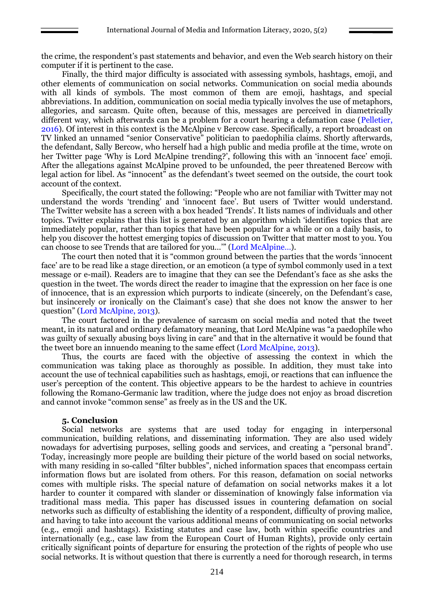the crime, the respondent's past statements and behavior, and even the Web search history on their computer if it is pertinent to the case.

Finally, the third major difficulty is associated with assessing symbols, hashtags, emoji, and other elements of communication on social networks. Communication on social media abounds with all kinds of symbols. The most common of them are emoji, hashtags, and special abbreviations. In addition, communication on social media typically involves the use of metaphors, allegories, and sarcasm. Quite often, because of this, messages are perceived in diametrically different way, which afterwards can be a problem for a court hearing a defamation case (Pelletier, 2016). Of interest in this context is the McAlpine v Bercow case. Specifically, a report broadcast on TV linked an unnamed "senior Conservative" politician to paedophilia claims. Shortly afterwards, the defendant, Sally Bercow, who herself had a high public and media profile at the time, wrote on her Twitter page 'Why is Lord McAlpine trending?', following this with an 'innocent face' emoji. After the allegations against McAlpine proved to be unfounded, the peer threatened Bercow with legal action for libel. As "innocent" as the defendant's tweet seemed on the outside, the court took account of the context.

Specifically, the court stated the following: "People who are not familiar with Twitter may not understand the words 'trending' and 'innocent face'. But users of Twitter would understand. The Twitter website has a screen with a box headed 'Trends'. It lists names of individuals and other topics. Twitter explains that this list is generated by an algorithm which 'identifies topics that are immediately popular, rather than topics that have been popular for a while or on a daily basis, to help you discover the hottest emerging topics of discussion on Twitter that matter most to you. You can choose to see Trends that are tailored for you…'" (Lord McAlpine…).

The court then noted that it is "common ground between the parties that the words 'innocent face' are to be read like a stage direction, or an emoticon (a type of symbol commonly used in a text message or e-mail). Readers are to imagine that they can see the Defendant's face as she asks the question in the tweet. The words direct the reader to imagine that the expression on her face is one of innocence, that is an expression which purports to indicate (sincerely, on the Defendant's case, but insincerely or ironically on the Claimant's case) that she does not know the answer to her question" (Lord McAlpine, 2013).

The court factored in the prevalence of sarcasm on social media and noted that the tweet meant, in its natural and ordinary defamatory meaning, that Lord McAlpine was "a paedophile who was guilty of sexually abusing boys living in care" and that in the alternative it would be found that the tweet bore an innuendo meaning to the same effect (Lord McAlpine, 2013).

Thus, the courts are faced with the objective of assessing the context in which the communication was taking place as thoroughly as possible. In addition, they must take into account the use of technical capabilities such as hashtags, emoji, or reactions that can influence the user's perception of the content. This objective appears to be the hardest to achieve in countries following the Romano-Germanic law tradition, where the judge does not enjoy as broad discretion and cannot invoke "common sense" as freely as in the US and the UK.

### **5. Conclusion**

Social networks are systems that are used today for engaging in interpersonal communication, building relations, and disseminating information. They are also used widely nowadays for advertising purposes, selling goods and services, and creating a "personal brand". Today, increasingly more people are building their picture of the world based on social networks, with many residing in so-called "filter bubbles", niched information spaces that encompass certain information flows but are isolated from others. For this reason, defamation on social networks comes with multiple risks. The special nature of defamation on social networks makes it a lot harder to counter it compared with slander or dissemination of knowingly false information via traditional mass media. This paper has discussed issues in countering defamation on social networks such as difficulty of establishing the identity of a respondent, difficulty of proving malice, and having to take into account the various additional means of communicating on social networks (e.g., emoji and hashtags). Existing statutes and case law, both within specific countries and internationally (e.g., case law from the European Court of Human Rights), provide only certain critically significant points of departure for ensuring the protection of the rights of people who use social networks. It is without question that there is currently a need for thorough research, in terms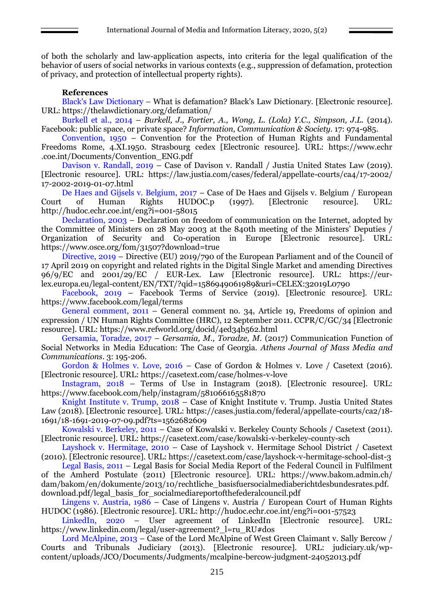of both the scholarly and law-application aspects, into criteria for the legal qualification of the behavior of users of social networks in various contexts (e.g., suppression of defamation, protection of privacy, and protection of intellectual property rights).

### **References**

Black's Law Dictionary – What is defamation? Black's Law Dictionary. [Electronic resource]. URL: https://thelawdictionary.org/defamation/

Burkell et al., 2014 – *Burkell, J., Fortier, A., Wong, L. (Lola) Y.C., Simpson, J.L.* (2014). Facebook: public space, or private space? *Information, Communication & Society.* 17: 974-985.

Convention, 1950 – Convention for the Protection of Human Rights and Fundamental Freedoms Rome, 4.XI.1950. Strasbourg cedex [Electronic resource]. URL: https://www.echr .coe.int/Documents/Convention\_ENG.pdf

Davison v. Randall, 2019 – Case of Davison v. Randall / Justia United States Law (2019). [Electronic resource]. URL: https://law.justia.com/cases/federal/appellate-courts/ca4/17-2002/ 17-2002-2019-01-07.html

De Haes and Gijsels v. Belgium, 2017 – Case of De Haes and Gijsels v. Belgium / European Court of Human Rights HUDOC.p (1997). [Electronic resource]. URL: http://hudoc.echr.coe.int/eng?i=001-58015

Declaration, 2003 – Declaration on freedom of communication on the Internet, adopted by the Committee of Ministers on 28 May 2003 at the 840th meeting of the Ministers' Deputies / Organization of Security and Co-operation in Europe [Electronic resource]. URL: https://www.osce.org/fom/31507?download=true

Directive, 2019 – Directive (EU) 2019/790 of the European Parliament and of the Council of 17 April 2019 on copyright and related rights in the Digital Single Market and amending Directives 96/9/EC and 2001/29/EC / EUR-Lex. Law [Electronic resource]. URL: https://eurlex.europa.eu/legal-content/EN/TXT/?qid=1586949061989&uri=CELEX:32019L0790

Facebook, 2019 – Facebook Terms of Service (2019). [Electronic resource]. URL: https://www.facebook.com/legal/terms

General comment, 2011 – General comment no. 34, Article 19, Freedoms of opinion and expression / UN Human Rights Committee (HRC), 12 September 2011. CCPR/C/GC/34 [Electronic resource]. URL: https://www.refworld.org/docid/4ed34b562.html

Gersamia, Toradze, 2017 – *Gersamia, M., Toradze, M.* (2017) Communication Function of Social Networks in Media Education: The Case of Georgia. *Athens Journal of Mass Media and Communications.* 3: 195-206.

Gordon & Holmes v. Love, 2016 – Case of Gordon & Holmes v. Love / Casetext (2016). [Electronic resource]. URL: https://casetext.com/case/holmes-v-love

Instagram, 2018 – Terms of Use in Instagram (2018). [Electronic resource]. URL: https://www.facebook.com/help/instagram/581066165581870

Knight Institute v. Trump, 2018 – Case of Knight Institute v. Trump. Justia United States Law (2018). [Electronic resource]. URL: https://cases.justia.com/federal/appellate-courts/ca2/18- 1691/18-1691-2019-07-09.pdf?ts=1562682609

Kowalski v. Berkeley, 2011 – Case of Kowalski v. Berkeley County Schools / Casetext (2011). [Electronic resource]. URL: https://casetext.com/case/kowalski-v-berkeley-county-sch

Layshock v. Hermitage, 2010 – Case of Layshock v. Hermitage School District / Casetext (2010). [Electronic resource]. URL: https://casetext.com/case/layshock-v-hermitage-school-dist-3

Legal Basis, 2011 – Legal Basis for Social Media Report of the Federal Council in Fulfilment of the Amherd Postulate (2011) [Electronic resource]. URL: https://www.bakom.admin.ch/ dam/bakom/en/dokumente/2013/10/rechtliche\_basisfuersocialmediaberichtdesbundesrates.pdf. download.pdf/legal\_basis\_for\_socialmediareportofthefederalcouncil.pdf

Lingens v. Austria, 1986 – Case of Lingens v. Austria / European Court of Human Rights HUDOC (1986). [Electronic resource]. URL: http://hudoc.echr.coe.int/eng?i=001-57523

LinkedIn, 2020 – User agreement of LinkedIn [Electronic resource]. URL: https://www.linkedin.com/legal/user-agreement?\_l=ru\_RU#dos

Lord McAlpine, 2013 – Case of the Lord McAlpine of West Green Claimant v. Sally Bercow / Courts and Tribunals Judiciary (2013). [Electronic resource]. URL: judiciary.uk/wpcontent/uploads/JCO/Documents/Judgments/mcalpine-bercow-judgment-24052013.pdf